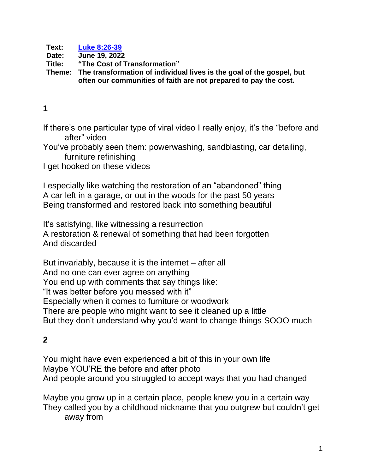**Text: [Luke 8:26-39](https://www.biblegateway.com/passage/?search=Luke+8%3A26-39&version=CEB) Date: June 19, 2022 Title: "The Cost of Transformation" Theme: The transformation of individual lives is the goal of the gospel, but often our communities of faith are not prepared to pay the cost.**

#### **1**

If there's one particular type of viral video I really enjoy, it's the "before and after" video

You've probably seen them: powerwashing, sandblasting, car detailing, furniture refinishing

I get hooked on these videos

I especially like watching the restoration of an "abandoned" thing A car left in a garage, or out in the woods for the past 50 years Being transformed and restored back into something beautiful

It's satisfying, like witnessing a resurrection A restoration & renewal of something that had been forgotten And discarded

But invariably, because it is the internet – after all And no one can ever agree on anything You end up with comments that say things like: "It was better before you messed with it" Especially when it comes to furniture or woodwork There are people who might want to see it cleaned up a little But they don't understand why you'd want to change things SOOO much

### **2**

You might have even experienced a bit of this in your own life Maybe YOU'RE the before and after photo And people around you struggled to accept ways that you had changed

Maybe you grow up in a certain place, people knew you in a certain way They called you by a childhood nickname that you outgrew but couldn't get away from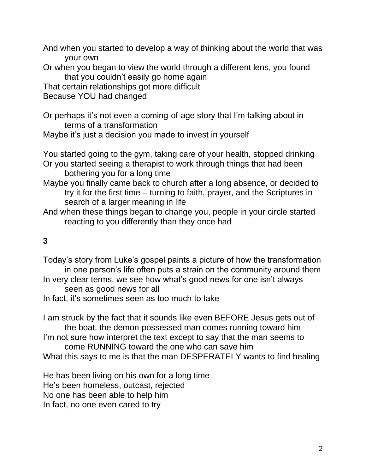And when you started to develop a way of thinking about the world that was your own

Or when you began to view the world through a different lens, you found that you couldn't easily go home again

That certain relationships got more difficult

Because YOU had changed

Or perhaps it's not even a coming-of-age story that I'm talking about in terms of a transformation

Maybe it's just a decision you made to invest in yourself

You started going to the gym, taking care of your health, stopped drinking Or you started seeing a therapist to work through things that had been bothering you for a long time

Maybe you finally came back to church after a long absence, or decided to try it for the first time – turning to faith, prayer, and the Scriptures in search of a larger meaning in life

And when these things began to change you, people in your circle started reacting to you differently than they once had

# **3**

Today's story from Luke's gospel paints a picture of how the transformation in one person's life often puts a strain on the community around them In very clear terms, we see how what's good news for one isn't always seen as good news for all In fact, it's sometimes seen as too much to take

I am struck by the fact that it sounds like even BEFORE Jesus gets out of the boat, the demon-possessed man comes running toward him I'm not sure how interpret the text except to say that the man seems to come RUNNING toward the one who can save him What this says to me is that the man DESPERATELY wants to find healing

He has been living on his own for a long time He's been homeless, outcast, rejected No one has been able to help him In fact, no one even cared to try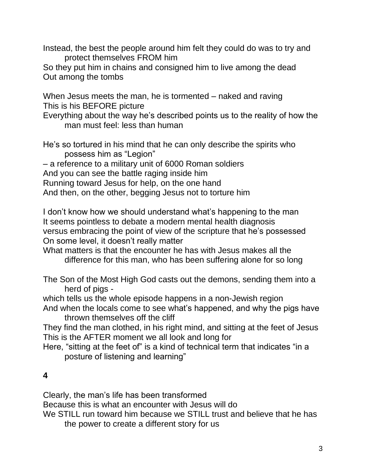Instead, the best the people around him felt they could do was to try and protect themselves FROM him

So they put him in chains and consigned him to live among the dead Out among the tombs

When Jesus meets the man, he is tormented – naked and raving This is his BEFORE picture

Everything about the way he's described points us to the reality of how the man must feel: less than human

He's so tortured in his mind that he can only describe the spirits who possess him as "Legion"

– a reference to a military unit of 6000 Roman soldiers

And you can see the battle raging inside him

Running toward Jesus for help, on the one hand

And then, on the other, begging Jesus not to torture him

I don't know how we should understand what's happening to the man It seems pointless to debate a modern mental health diagnosis versus embracing the point of view of the scripture that he's possessed On some level, it doesn't really matter

What matters is that the encounter he has with Jesus makes all the difference for this man, who has been suffering alone for so long

The Son of the Most High God casts out the demons, sending them into a herd of pigs -

which tells us the whole episode happens in a non-Jewish region

And when the locals come to see what's happened, and why the pigs have thrown themselves off the cliff

They find the man clothed, in his right mind, and sitting at the feet of Jesus This is the AFTER moment we all look and long for

Here, "sitting at the feet of" is a kind of technical term that indicates "in a posture of listening and learning"

## **4**

Clearly, the man's life has been transformed

Because this is what an encounter with Jesus will do

We STILL run toward him because we STILL trust and believe that he has the power to create a different story for us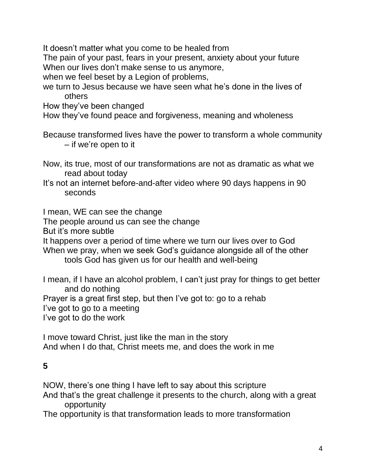It doesn't matter what you come to be healed from

The pain of your past, fears in your present, anxiety about your future When our lives don't make sense to us anymore,

when we feel beset by a Legion of problems,

we turn to Jesus because we have seen what he's done in the lives of others

How they've been changed

How they've found peace and forgiveness, meaning and wholeness

- Because transformed lives have the power to transform a whole community – if we're open to it
- Now, its true, most of our transformations are not as dramatic as what we read about today
- It's not an internet before-and-after video where 90 days happens in 90 seconds

I mean, WE can see the change

The people around us can see the change

But it's more subtle

It happens over a period of time where we turn our lives over to God When we pray, when we seek God's guidance alongside all of the other

tools God has given us for our health and well-being

I mean, if I have an alcohol problem, I can't just pray for things to get better and do nothing

Prayer is a great first step, but then I've got to: go to a rehab

I've got to go to a meeting

I've got to do the work

I move toward Christ, just like the man in the story And when I do that, Christ meets me, and does the work in me

### **5**

NOW, there's one thing I have left to say about this scripture

And that's the great challenge it presents to the church, along with a great opportunity

The opportunity is that transformation leads to more transformation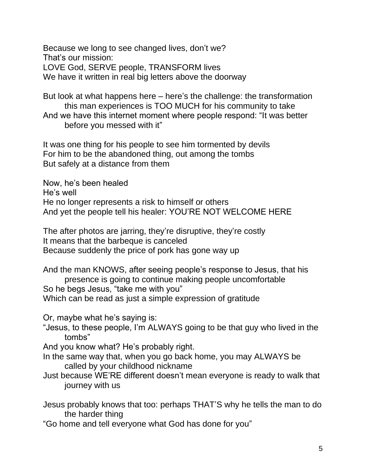Because we long to see changed lives, don't we? That's our mission: LOVE God, SERVE people, TRANSFORM lives We have it written in real big letters above the doorway

But look at what happens here – here's the challenge: the transformation this man experiences is TOO MUCH for his community to take And we have this internet moment where people respond: "It was better before you messed with it"

It was one thing for his people to see him tormented by devils For him to be the abandoned thing, out among the tombs But safely at a distance from them

Now, he's been healed He's well He no longer represents a risk to himself or others And yet the people tell his healer: YOU'RE NOT WELCOME HERE

The after photos are jarring, they're disruptive, they're costly It means that the barbeque is canceled Because suddenly the price of pork has gone way up

And the man KNOWS, after seeing people's response to Jesus, that his presence is going to continue making people uncomfortable So he begs Jesus, "take me with you" Which can be read as just a simple expression of gratitude

Or, maybe what he's saying is:

"Jesus, to these people, I'm ALWAYS going to be that guy who lived in the tombs"

And you know what? He's probably right.

- In the same way that, when you go back home, you may ALWAYS be called by your childhood nickname
- Just because WE'RE different doesn't mean everyone is ready to walk that journey with us
- Jesus probably knows that too: perhaps THAT'S why he tells the man to do the harder thing

"Go home and tell everyone what God has done for you"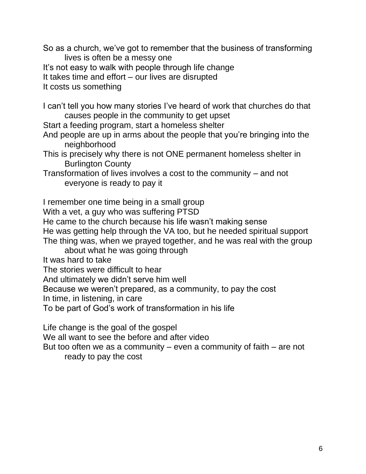So as a church, we've got to remember that the business of transforming lives is often be a messy one

It's not easy to walk with people through life change

It takes time and effort – our lives are disrupted

It costs us something

I can't tell you how many stories I've heard of work that churches do that causes people in the community to get upset

Start a feeding program, start a homeless shelter

- And people are up in arms about the people that you're bringing into the neighborhood
- This is precisely why there is not ONE permanent homeless shelter in Burlington County
- Transformation of lives involves a cost to the community and not everyone is ready to pay it

I remember one time being in a small group

With a vet, a guy who was suffering PTSD

He came to the church because his life wasn't making sense

He was getting help through the VA too, but he needed spiritual support

The thing was, when we prayed together, and he was real with the group

about what he was going through

It was hard to take

The stories were difficult to hear

And ultimately we didn't serve him well

Because we weren't prepared, as a community, to pay the cost

In time, in listening, in care

To be part of God's work of transformation in his life

Life change is the goal of the gospel

We all want to see the before and after video

But too often we as a community – even a community of faith – are not ready to pay the cost